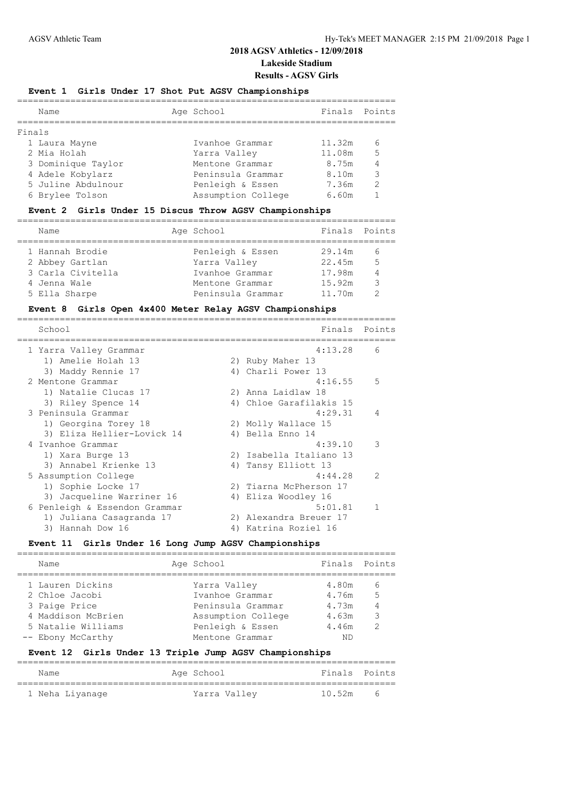### **Event 1 Girls Under 17 Shot Put AGSV Championships**

|        | Name               | Age School         | Finals Points |               |
|--------|--------------------|--------------------|---------------|---------------|
| Finals |                    |                    |               |               |
|        | 1 Laura Mayne      | Ivanhoe Grammar    | 11.32m        | 6             |
|        | 2 Mia Holah        | Yarra Valley       | 11.08m        | 5             |
|        | 3 Dominique Taylor | Mentone Grammar    | 8.75m         | 4             |
|        | 4 Adele Kobylarz   | Peninsula Grammar  | 8.10m         | 3             |
|        | 5 Juline Abdulnour | Penleigh & Essen   | 7.36m         | $\mathcal{L}$ |
|        | 6 Brylee Tolson    | Assumption College | 6.60m         |               |
|        |                    |                    |               |               |

### **Event 2 Girls Under 15 Discus Throw AGSV Championships**

| Name              | Age School        | Finals Points |                |
|-------------------|-------------------|---------------|----------------|
| 1 Hannah Brodie   | Penleigh & Essen  | 29.14m        | 6              |
| 2 Abbey Gartlan   | Yarra Valley      | 22.45m        | $\overline{5}$ |
| 3 Carla Civitella | Ivanhoe Grammar   | 17.98m        | $\overline{4}$ |
| 4 Jenna Wale      | Mentone Grammar   | 15.92m        | २              |
| 5 Ella Sharpe     | Peninsula Grammar | 11.70m        |                |

### **Event 8 Girls Open 4x400 Meter Relay AGSV Championships**

| School                        |    | Finals                  | Points        |
|-------------------------------|----|-------------------------|---------------|
| 1 Yarra Valley Grammar        |    | 4:13.28                 | 6             |
| 1) Amelie Holah 13            |    | 2) Ruby Maher 13        |               |
| 3) Maddy Rennie 17            |    | 4) Charli Power 13      |               |
| 2 Mentone Grammar             |    | 4:16.55                 | .5            |
| 1) Natalie Clucas 17          |    | 2) Anna Laidlaw 18      |               |
| 3) Riley Spence 14            |    | 4) Chloe Garafilakis 15 |               |
| 3 Peninsula Grammar           |    | 4:29.31                 | 4             |
| 1) Georgina Torey 18          |    | 2) Molly Wallace 15     |               |
| 3) Eliza Hellier-Lovick 14    |    | 4) Bella Enno 14        |               |
| 4 Ivanhoe Grammar             |    | 4:39.10                 | 3             |
| 1) Xara Burge 13              |    | 2) Isabella Italiano 13 |               |
| 3) Annabel Krienke 13         |    | 4) Tansy Elliott 13     |               |
| 5 Assumption College          |    | 4:44.28                 | $\mathcal{L}$ |
| 1) Sophie Locke 17            |    | 2) Tiarna McPherson 17  |               |
| 3) Jacqueline Warriner 16     |    | 4) Eliza Woodley 16     |               |
| 6 Penleigh & Essendon Grammar |    | 5:01.81                 | -1            |
| 1) Juliana Casagranda 17      |    | 2) Alexandra Breuer 17  |               |
| Hannah Dow 16<br>3)           | 4) | Katrina Roziel 16       |               |

### **Event 11 Girls Under 16 Long Jump AGSV Championships**

| Name                                     | Age School                             | Finals Points  |                      |
|------------------------------------------|----------------------------------------|----------------|----------------------|
| 1 Lauren Dickins                         | Yarra Valley                           | 4.80m<br>4.76m | 6<br>$5\overline{5}$ |
| 2 Chloe Jacobi<br>3 Paige Price          | Ivanhoe Grammar<br>Peninsula Grammar   | 4.73m          |                      |
| 4 Maddison McBrien<br>5 Natalie Williams | Assumption College<br>Penleigh & Essen | 4.63m<br>4.46m | 3<br>っ               |
| -- Ebony McCarthy                        | Mentone Grammar                        | ΝD             |                      |

#### **Event 12 Girls Under 13 Triple Jump AGSV Championships**

| Name            | Age School   | Finals Points |   |
|-----------------|--------------|---------------|---|
| 1 Neha Liyanage | Yarra Valley | 10.52m        | h |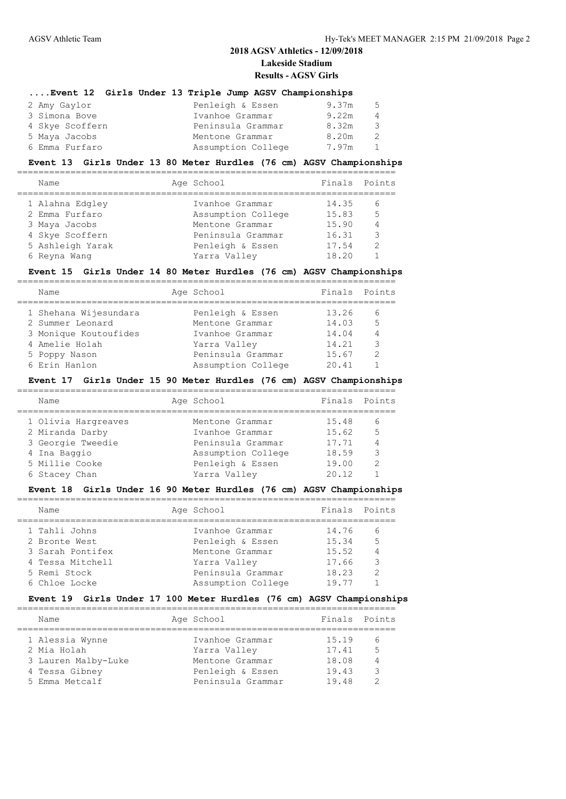| Event 12 Girls Under 13 Triple Jump AGSV Championships |                    |       |     |
|--------------------------------------------------------|--------------------|-------|-----|
| 2 Amy Gaylor                                           | Penleigh & Essen   | 9.37m | 5   |
| 3 Simona Bove                                          | Ivanhoe Grammar    | 9.22m | 4   |
| 4 Skye Scoffern                                        | Peninsula Grammar  | 8.32m | 3   |
| 5 Maya Jacobs                                          | Mentone Grammar    | 8.20m | 2   |
| 6 Emma Furfaro                                         | Assumption College | 7.97m | -1. |
|                                                        |                    |       |     |

#### **Event 13 Girls Under 13 80 Meter Hurdles (76 cm) AGSV Championships**

| Name             | Age School         | Finals Points |                |
|------------------|--------------------|---------------|----------------|
| 1 Alahna Edgley  | Ivanhoe Grammar    | 14.35         | -6             |
| 2 Emma Furfaro   | Assumption College | 15.83         | 5              |
| 3 Maya Jacobs    | Mentone Grammar    | 15.90         | $\overline{4}$ |
| 4 Skye Scoffern  | Peninsula Grammar  | 16.31         | $\mathcal{R}$  |
| 5 Ashleigh Yarak | Penleigh & Essen   | 17.54         | $\mathcal{P}$  |
| 6 Reyna Wang     | Yarra Valley       | 18.20         |                |
|                  |                    |               |                |

#### **Event 15 Girls Under 14 80 Meter Hurdles (76 cm) AGSV Championships**

| Name                  | Age School         | Finals Points |               |
|-----------------------|--------------------|---------------|---------------|
|                       |                    |               |               |
| 1 Shehana Wijesundara | Penleigh & Essen   | 13.26         | 6             |
| 2 Summer Leonard      | Mentone Grammar    | 14.03         | 5             |
| 3 Monique Koutoufides | Ivanhoe Grammar    | 14.04         | 4             |
| 4 Amelie Holah        | Yarra Valley       | 14.21         | ্ব            |
| 5 Poppy Nason         | Peninsula Grammar  | 15.67         | $\mathcal{P}$ |
| 6 Erin Hanlon         | Assumption College | 20.41         |               |

#### **Event 17 Girls Under 15 90 Meter Hurdles (76 cm) AGSV Championships**

| Name                                                                                          | Age School                                                                                        | Finals Points                             |                               |
|-----------------------------------------------------------------------------------------------|---------------------------------------------------------------------------------------------------|-------------------------------------------|-------------------------------|
| 1 Olivia Hargreaves<br>2 Miranda Darby<br>3 Georgie Tweedie<br>4 Ina Baggio<br>5 Millie Cooke | Mentone Grammar<br>Ivanhoe Grammar<br>Peninsula Grammar<br>Assumption College<br>Penleigh & Essen | 15.48<br>15.62<br>17.71<br>18.59<br>19.00 | 6<br>.5<br>3<br>$\mathcal{P}$ |
| 6 Stacey Chan                                                                                 | Yarra Valley                                                                                      | 20.12                                     |                               |
|                                                                                               |                                                                                                   |                                           |                               |

#### **Event 18 Girls Under 16 90 Meter Hurdles (76 cm) AGSV Championships**

| Name             | Age School         | Finals Points |                |
|------------------|--------------------|---------------|----------------|
| 1 Tahli Johns    | Ivanhoe Grammar    | 14.76         | - 6            |
| 2 Bronte West    | Penleigh & Essen   | 15.34         | - 5            |
| 3 Sarah Pontifex | Mentone Grammar    | 15.52         | $\overline{4}$ |
| 4 Tessa Mitchell | Yarra Valley       | 17.66         | -3             |
| 5 Remi Stock     | Peninsula Grammar  | 18.23         | $\mathcal{P}$  |
| 6 Chloe Locke    | Assumption College | 19.77         |                |
|                  |                    |               |                |

#### **Event 19 Girls Under 17 100 Meter Hurdles (76 cm) AGSV Championships**

| Name                                                                                      | Age School                                                                                  | Finals Points                             |                   |
|-------------------------------------------------------------------------------------------|---------------------------------------------------------------------------------------------|-------------------------------------------|-------------------|
| 1 Alessia Wynne<br>2 Mia Holah<br>3 Lauren Malby-Luke<br>4 Tessa Gibney<br>5 Emma Metcalf | Ivanhoe Grammar<br>Yarra Valley<br>Mentone Grammar<br>Penleigh & Essen<br>Peninsula Grammar | 15.19<br>17.41<br>18.08<br>19.43<br>19.48 | b<br>.5<br>4<br>հ |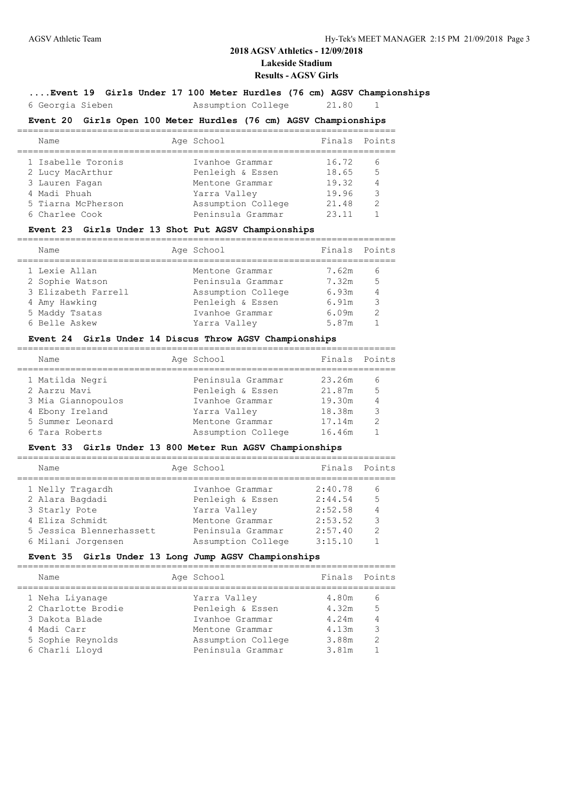# **2018 AGSV Athletics - 12/09/2018 Lakeside Stadium**

#### **Results - AGSV Girls**

#### **....Event 19 Girls Under 17 100 Meter Hurdles (76 cm) AGSV Championships**

6 Georgia Sieben Assumption College 21.80 1

### **Event 20 Girls Open 100 Meter Hurdles (76 cm) AGSV Championships**

| Name               | Age School         | Finals | Points         |
|--------------------|--------------------|--------|----------------|
| 1 Isabelle Toronis | Ivanhoe Grammar    | 16.72  | -6             |
| 2 Lucy MacArthur   | Penleigh & Essen   | 18.65  | 5              |
| 3 Lauren Fagan     | Mentone Grammar    | 19.32  | $\overline{4}$ |
| 4 Madi Phuah       | Yarra Valley       | 19.96  | $\mathcal{R}$  |
| 5 Tiarna McPherson | Assumption College | 21.48  | $\mathcal{P}$  |
| 6 Charlee Cook     | Peninsula Grammar  | 23 11  |                |

### **Event 23 Girls Under 13 Shot Put AGSV Championships**

| Age School<br>Name                                 | Finals Points  |
|----------------------------------------------------|----------------|
| 1 Lexie Allan<br>7.62m<br>Mentone Grammar          | 6              |
| 2 Sophie Watson<br>Peninsula Grammar<br>7.32m      | .5             |
| 3 Elizabeth Farrell<br>Assumption College<br>6.93m | $\overline{4}$ |
| Penleigh & Essen<br>6.91m<br>4 Amy Hawking         | 3              |
| 5 Maddy Tsatas<br>6.09m<br>Ivanhoe Grammar         | $\mathcal{P}$  |
| 6 Belle Askew<br>5.87m<br>Yarra Valley             |                |

#### **Event 24 Girls Under 14 Discus Throw AGSV Championships**

| Name               | Age School         | Finals Points |                |
|--------------------|--------------------|---------------|----------------|
| 1 Matilda Negri    | Peninsula Grammar  | 23.26m        | 6              |
| 2 Aarzu Mavi       | Penleigh & Essen   | 21.87m        | 5              |
| 3 Mia Giannopoulos | Ivanhoe Grammar    | 19.30m        | $\overline{4}$ |
| 4 Ebony Ireland    | Yarra Valley       | 18.38m        | 3              |
| 5 Summer Leonard   | Mentone Grammar    | 17.14m        | $\mathcal{P}$  |
| 6 Tara Roberts     | Assumption College | 16.46m        |                |
|                    |                    |               |                |

### **Event 33 Girls Under 13 800 Meter Run AGSV Championships**

| Name                     | Age School         | Finals  | Points        |
|--------------------------|--------------------|---------|---------------|
| 1 Nelly Tragardh         | Ivanhoe Grammar    | 2:40.78 | 6             |
| 2 Alara Baqdadi          | Penleigh & Essen   | 2:44.54 | 5             |
| 3 Starly Pote            | Yarra Valley       | 2:52.58 |               |
| 4 Eliza Schmidt          | Mentone Grammar    | 2:53.52 | 3             |
| 5 Jessica Blennerhassett | Peninsula Grammar  | 2:57.40 | $\mathcal{P}$ |
| 6 Milani Jorgensen       | Assumption College | 3:15.10 |               |
|                          |                    |         |               |

#### **Event 35 Girls Under 13 Long Jump AGSV Championships**

| Age School<br>Name                                                                                                                                                                                                                 |                                                    | Finals Points                 |
|------------------------------------------------------------------------------------------------------------------------------------------------------------------------------------------------------------------------------------|----------------------------------------------------|-------------------------------|
| 1 Neha Liyanage<br>Yarra Valley<br>2 Charlotte Brodie<br>Penleigh & Essen<br>Ivanhoe Grammar<br>3 Dakota Blade<br>4 Madi Carr<br>Mentone Grammar<br>5 Sophie Reynolds<br>Assumption College<br>6 Charli Lloyd<br>Peninsula Grammar | 4.80m<br>4.32m<br>4.24m<br>4.13m<br>3.88m<br>3.81m | 6<br>.5<br>3<br>$\mathcal{P}$ |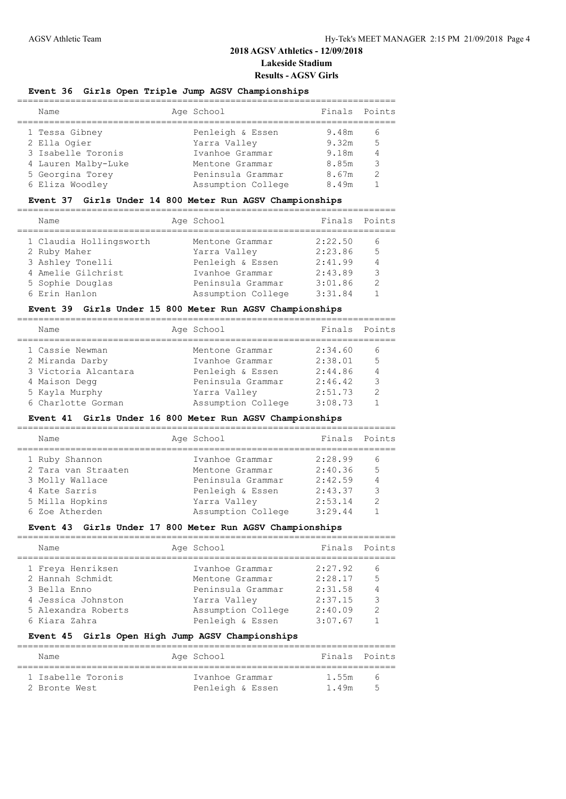### **Event 36 Girls Open Triple Jump AGSV Championships**

| Name                | Age School         | Finals Points |   |
|---------------------|--------------------|---------------|---|
| 1 Tessa Gibney      | Penleigh & Essen   | 9.48m         | h |
| 2 Ella Ogier        | Yarra Valley       | 9.32m         | 5 |
| 3 Isabelle Toronis  | Ivanhoe Grammar    | 9.18m         |   |
| 4 Lauren Malby-Luke | Mentone Grammar    | 8.85m         | ২ |
| 5 Georgina Torey    | Peninsula Grammar  | 8.67m         | っ |
| 6 Eliza Woodley     | Assumption College | 8.49m         |   |
|                     |                    |               |   |

#### **Event 37 Girls Under 14 800 Meter Run AGSV Championships**

| Age School<br>Name                         | Finals Points |                |
|--------------------------------------------|---------------|----------------|
| 1 Claudia Hollingsworth<br>Mentone Grammar | 2:22.50       | 6              |
| 2 Ruby Maher<br>Yarra Valley               | 2:23.86       | 5              |
| 3 Ashley Tonelli<br>Penleigh & Essen       | 2:41.99       | $\overline{4}$ |
| 4 Amelie Gilchrist<br>Ivanhoe Grammar      | 2:43.89       | 3              |
| 5 Sophie Douglas<br>Peninsula Grammar      | 3:01.86       | っ              |
| 6 Erin Hanlon<br>Assumption College        | 3:31.84       |                |

#### **Event 39 Girls Under 15 800 Meter Run AGSV Championships**

| Name                 | Age School         | Finals  | Points        |
|----------------------|--------------------|---------|---------------|
| 1 Cassie Newman      | Mentone Grammar    | 2:34.60 | 6             |
| 2 Miranda Darby      | Ivanhoe Grammar    | 2:38.01 | 5             |
| 3 Victoria Alcantara | Penleigh & Essen   | 2:44.86 | 4             |
| 4 Maison Degg        | Peninsula Grammar  | 2:46.42 | $\mathcal{R}$ |
| 5 Kayla Murphy       | Yarra Valley       | 2:51.73 | $\mathcal{P}$ |
| 6 Charlotte Gorman   | Assumption College | 3:08.73 |               |
|                      |                    |         |               |

#### **Event 41 Girls Under 16 800 Meter Run AGSV Championships**

| Name                | Age School         | Finals  | Points         |
|---------------------|--------------------|---------|----------------|
| 1 Ruby Shannon      | Ivanhoe Grammar    | 2:28.99 | 6              |
| 2 Tara van Straaten | Mentone Grammar    | 2:40.36 | 5              |
| 3 Molly Wallace     | Peninsula Grammar  | 2:42.59 | $\overline{4}$ |
| 4 Kate Sarris       | Penleigh & Essen   | 2:43.37 | 3              |
| 5 Milla Hopkins     | Yarra Valley       | 2:53.14 | $\mathcal{D}$  |
| 6 Zoe Atherden      | Assumption College | 3:29.44 |                |
|                     |                    |         |                |

### **Event 43 Girls Under 17 800 Meter Run AGSV Championships**

| Name                | Age School         | Finals  | Points        |
|---------------------|--------------------|---------|---------------|
| 1 Freya Henriksen   | Ivanhoe Grammar    | 2:27.92 | 6             |
| 2 Hannah Schmidt    | Mentone Grammar    | 2:28.17 | 5             |
| 3 Bella Enno        | Peninsula Grammar  | 2:31.58 | 4             |
| 4 Jessica Johnston  | Yarra Valley       | 2:37.15 | 3             |
| 5 Alexandra Roberts | Assumption College | 2:40.09 | $\mathcal{D}$ |
| 6 Kiara Zahra       | Penleigh & Essen   | 3:07.67 |               |
|                     |                    |         |               |

#### **Event 45 Girls Open High Jump AGSV Championships**

| Name               | Age School       | Finals Points |                          |
|--------------------|------------------|---------------|--------------------------|
| 1 Isabelle Toronis | Ivanhoe Grammar  | 1.55m         | $\sim$                   |
| 2 Bronte West      | Penleigh & Essen | 1.49m         | $\overline{\phantom{a}}$ |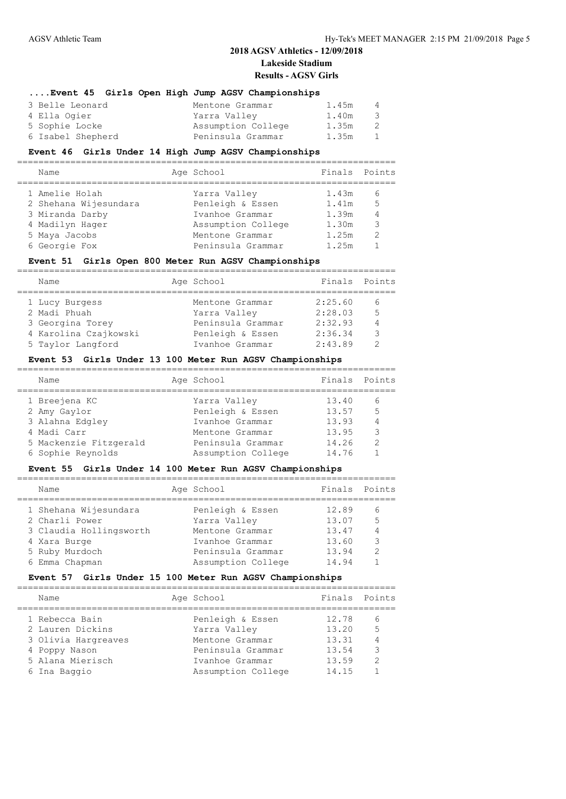#### **....Event 45 Girls Open High Jump AGSV Championships**

| 3 Belle Leonard   | Mentone Grammar    | 1.45m | 4            |
|-------------------|--------------------|-------|--------------|
| 4 Ella Ogier      | Yarra Valley       | 1.40m | -3-          |
| 5 Sophie Locke    | Assumption College | 1.35m | 2            |
| 6 Isabel Shepherd | Peninsula Grammar  | 1.35m | $\mathbf{1}$ |

### **Event 46 Girls Under 14 High Jump AGSV Championships**

| Name                  | Age School         | Finals Points |               |
|-----------------------|--------------------|---------------|---------------|
| 1 Amelie Holah        | Yarra Valley       | 1.43m         | 6             |
| 2 Shehana Wijesundara | Penleigh & Essen   | 1.41m         | .5            |
| 3 Miranda Darby       | Ivanhoe Grammar    | 1.39m         | 4             |
| 4 Madilyn Hager       | Assumption College | 1.30m         | 3             |
| 5 Maya Jacobs         | Mentone Grammar    | 1.25m         | $\mathcal{D}$ |
| 6 Georgie Fox         | Peninsula Grammar  | 1.25m         |               |
|                       |                    |               |               |

### **Event 51 Girls Open 800 Meter Run AGSV Championships**

| Name                                                                        | Age School                                                               | Finals Points                            |                               |
|-----------------------------------------------------------------------------|--------------------------------------------------------------------------|------------------------------------------|-------------------------------|
| 1 Lucy Burgess<br>2 Madi Phuah<br>3 Georgina Torey<br>4 Karolina Czajkowski | Mentone Grammar<br>Yarra Valley<br>Peninsula Grammar<br>Penleigh & Essen | 2:25.60<br>2:28.03<br>2:32.93<br>2:36.34 | 6<br>5<br>$\overline{4}$<br>₹ |
| 5 Taylor Langford                                                           | Ivanhoe Grammar                                                          | 2:43.89                                  |                               |
|                                                                             |                                                                          |                                          |                               |

#### **Event 53 Girls Under 13 100 Meter Run AGSV Championships**

| Name                   | Age School         | Finals | Points |
|------------------------|--------------------|--------|--------|
| 1 Breejena KC          | Yarra Valley       | 13.40  | h      |
| 2 Amy Gaylor           | Penleigh & Essen   | 13.57  | 5      |
| 3 Alahna Edgley        | Ivanhoe Grammar    | 13.93  |        |
| 4 Madi Carr            | Mentone Grammar    | 13.95  | 3      |
| 5 Mackenzie Fitzgerald | Peninsula Grammar  | 14.26  | っ      |
| 6 Sophie Reynolds      | Assumption College | 14.76  |        |
|                        |                    |        |        |

### **Event 55 Girls Under 14 100 Meter Run AGSV Championships**

|  | Name                    | Age School         | Finals | Points        |
|--|-------------------------|--------------------|--------|---------------|
|  | 1 Shehana Wijesundara   | Penleigh & Essen   | 12.89  | 6             |
|  | 2 Charli Power          | Yarra Valley       | 13.07  | 5             |
|  | 3 Claudia Hollingsworth | Mentone Grammar    | 13.47  |               |
|  | 4 Xara Burge            | Ivanhoe Grammar    | 13.60  | 3             |
|  | 5 Ruby Murdoch          | Peninsula Grammar  | 13.94  | $\mathcal{D}$ |
|  | 6 Emma Chapman          | Assumption College | 14.94  |               |
|  |                         |                    |        |               |

#### **Event 57 Girls Under 15 100 Meter Run AGSV Championships**

| Name                | Age School         | Finals | Points |
|---------------------|--------------------|--------|--------|
| 1 Rebecca Bain      | Penleigh & Essen   | 12.78  | 6      |
| 2 Lauren Dickins    | Yarra Valley       | 13.20  | 5      |
| 3 Olivia Hargreaves | Mentone Grammar    | 13.31  |        |
| 4 Poppy Nason       | Peninsula Grammar  | 13.54  | 3      |
| 5 Alana Mierisch    | Ivanhoe Grammar    | 13.59  | っ      |
| 6 Ina Baggio        | Assumption College | 14.15  |        |
|                     |                    |        |        |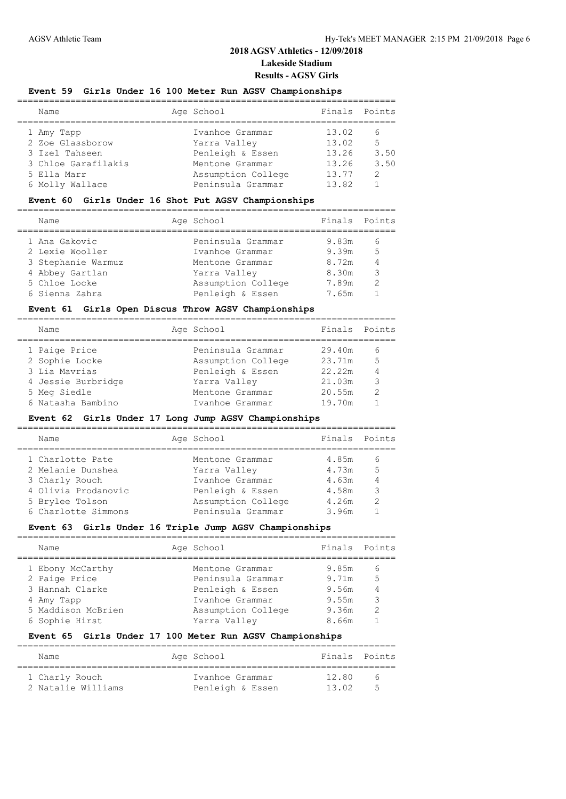### **Event 59 Girls Under 16 100 Meter Run AGSV Championships**

| Name                | Age School         | Finals | Points        |
|---------------------|--------------------|--------|---------------|
|                     |                    |        |               |
| 1 Amy Tapp          | Ivanhoe Grammar    | 13.02  | 6             |
| 2 Zoe Glassborow    | Yarra Valley       | 13.02  | 5             |
| 3 Izel Tahseen      | Penleigh & Essen   | 13.26  | 3.50          |
| 3 Chloe Garafilakis | Mentone Grammar    | 13.26  | 3.50          |
| 5 Ella Marr         | Assumption College | 13.77  | $\mathcal{P}$ |
| 6 Molly Wallace     | Peninsula Grammar  | 13.82  |               |

### **Event 60 Girls Under 16 Shot Put AGSV Championships**

| Name               | Age School         | Finals Points |               |
|--------------------|--------------------|---------------|---------------|
| 1 Ana Gakovic      | Peninsula Grammar  | 9.83m         | 6             |
| 2 Lexie Wooller    | Ivanhoe Grammar    | 9.39m         | 5             |
| 3 Stephanie Warmuz | Mentone Grammar    | 8.72m         | 4             |
| 4 Abbey Gartlan    | Yarra Valley       | 8.30m         | 3             |
| 5 Chloe Locke      | Assumption College | 7.89m         | $\mathcal{D}$ |
| 6 Sienna Zahra     | Penleigh & Essen   | 7.65m         |               |

### **Event 61 Girls Open Discus Throw AGSV Championships**

| Name               | Age School         | Finals Points |               |
|--------------------|--------------------|---------------|---------------|
| 1 Paige Price      | Peninsula Grammar  | 29.40m        | 6             |
| 2 Sophie Locke     | Assumption College | 23.71m        | 5             |
| 3 Lia Mavrias      | Penleigh & Essen   | 22.22m        |               |
| 4 Jessie Burbridge | Yarra Valley       | 21.03m        | 3             |
| 5 Meg Siedle       | Mentone Grammar    | 20.55m        | $\mathcal{P}$ |
| 6 Natasha Bambino  | Ivanhoe Grammar    | 19.70m        |               |
|                    |                    |               |               |

# **Event 62 Girls Under 17 Long Jump AGSV Championships**

| Name                | Age School         | Finals | Points |
|---------------------|--------------------|--------|--------|
| 1 Charlotte Pate    | Mentone Grammar    | 4.85m  | h      |
| 2 Melanie Dunshea   | Yarra Valley       | 4.73m  | 5      |
| 3 Charly Rouch      | Ivanhoe Grammar    | 4.63m  |        |
| 4 Olivia Prodanovic | Penleigh & Essen   | 4.58m  | 3      |
| 5 Brylee Tolson     | Assumption College | 4.26m  | っ      |
| 6 Charlotte Simmons | Peninsula Grammar  | 3.96m  |        |
|                     |                    |        |        |

### **Event 63 Girls Under 16 Triple Jump AGSV Championships**

| Name                                                               | Age School                                                                  | Finals                           | Points      |
|--------------------------------------------------------------------|-----------------------------------------------------------------------------|----------------------------------|-------------|
| 1 Ebony McCarthy<br>2 Paige Price<br>3 Hannah Clarke<br>4 Amy Tapp | Mentone Grammar<br>Peninsula Grammar<br>Penleigh & Essen<br>Ivanhoe Grammar | 9.85m<br>9.71m<br>9.56m<br>9.55m | 6<br>5<br>3 |
| 5 Maddison McBrien<br>6 Sophie Hirst                               | Assumption College<br>Yarra Valley                                          | 9.36m<br>8.66m                   | っ           |

#### **Event 65 Girls Under 17 100 Meter Run AGSV Championships**

| Name               | Age School       | Finals Points |                          |
|--------------------|------------------|---------------|--------------------------|
| 1 Charly Rouch     | Ivanhoe Grammar  | 12.80         | $\sqrt{2}$               |
| 2 Natalie Williams | Penleigh & Essen | 13.02         | $\overline{\phantom{a}}$ |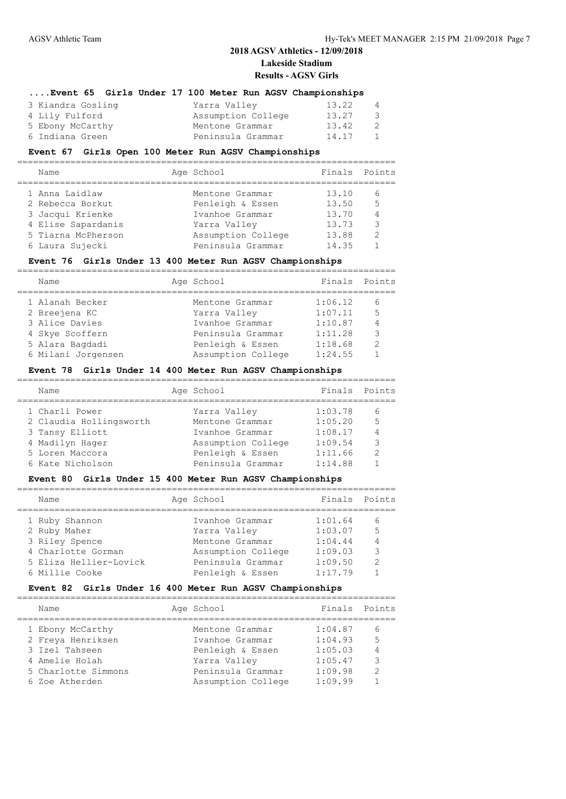#### **....Event 65 Girls Under 17 100 Meter Run AGSV Championships**

| 3 Kiandra Gosling | Yarra Valley       | 13.22 | 4            |
|-------------------|--------------------|-------|--------------|
| 4 Lily Fulford    | Assumption College | 13.27 | -3-          |
| 5 Ebony McCarthy  | Mentone Grammar    | 13.42 | 2            |
| 6 Indiana Green   | Peninsula Grammar  | 14.17 | $\mathbf{1}$ |

### **Event 67 Girls Open 100 Meter Run AGSV Championships**

| Name               | Age School         | Finals Points |                |
|--------------------|--------------------|---------------|----------------|
| 1 Anna Laidlaw     | Mentone Grammar    | 13.10         | 6              |
| 2 Rebecca Borkut   | Penleigh & Essen   | 13.50         | 5              |
| 3 Jacqui Krienke   | Ivanhoe Grammar    | 13.70         | $\overline{4}$ |
| 4 Elise Sapardanis | Yarra Valley       | 13.73         | 3              |
| 5 Tiarna McPherson | Assumption College | 13.88         | $\mathcal{P}$  |
| 6 Laura Sujecki    | Peninsula Grammar  | 14.35         |                |
|                    |                    |               |                |

### **Event 76 Girls Under 13 400 Meter Run AGSV Championships**

| Name               | Age School         | Finals  | Points         |
|--------------------|--------------------|---------|----------------|
| 1 Alanah Becker    | Mentone Grammar    | 1:06.12 | 6              |
| 2 Breejena KC      | Yarra Valley       | 1:07.11 | -5             |
| 3 Alice Davies     | Ivanhoe Grammar    | 1:10.87 | $\overline{4}$ |
| 4 Skye Scoffern    | Peninsula Grammar  | 1:11.28 | 3              |
| 5 Alara Bagdadi    | Penleigh & Essen   | 1:18.68 | $\mathcal{P}$  |
| 6 Milani Jorgensen | Assumption College | 1:24.55 |                |

#### **Event 78 Girls Under 14 400 Meter Run AGSV Championships**

| Name                    | Age School         | Finals Points |               |
|-------------------------|--------------------|---------------|---------------|
| 1 Charli Power          | Yarra Valley       | 1:03.78       | 6             |
| 2 Claudia Hollingsworth | Mentone Grammar    | 1:05.20       | 5             |
| 3 Tansy Elliott         | Ivanhoe Grammar    | 1:08.17       | 4             |
| 4 Madilyn Hager         | Assumption College | 1:09.54       | 3             |
| 5 Loren Maccora         | Penleigh & Essen   | 1:11.66       | $\mathcal{P}$ |
| 6 Kate Nicholson        | Peninsula Grammar  | 1:14.88       |               |

### **Event 80 Girls Under 15 400 Meter Run AGSV Championships**

| Name                   | Age School         | Finals  | Points         |
|------------------------|--------------------|---------|----------------|
| 1 Ruby Shannon         | Ivanhoe Grammar    | 1:01.64 | 6              |
| 2 Ruby Maher           | Yarra Valley       | 1:03.07 | 5              |
| 3 Riley Spence         | Mentone Grammar    | 1:04.44 | $\overline{4}$ |
| 4 Charlotte Gorman     | Assumption College | 1:09.03 | 3              |
| 5 Eliza Hellier-Lovick | Peninsula Grammar  | 1:09.50 | っ              |
| 6 Millie Cooke         | Penleigh & Essen   | 1:17.79 |                |
|                        |                    |         |                |

# **Event 82 Girls Under 16 400 Meter Run AGSV Championships**

| Points<br>Finals<br>Age School<br>Name                                                                                                                                                                                                                                                                                                    |  |  |
|-------------------------------------------------------------------------------------------------------------------------------------------------------------------------------------------------------------------------------------------------------------------------------------------------------------------------------------------|--|--|
|                                                                                                                                                                                                                                                                                                                                           |  |  |
| 1:04.87<br>1 Ebony McCarthy<br>Mentone Grammar<br>6<br>2 Freya Henriksen<br>5<br>1:04.93<br>Ivanhoe Grammar<br>3 Izel Tahseen<br>Penleigh & Essen<br>1:05.03<br>3<br>1:05.47<br>4 Amelie Holah<br>Yarra Valley<br>Peninsula Grammar<br>1:09.98<br>5 Charlotte Simmons<br>$\mathcal{P}$<br>1:09.99<br>Assumption College<br>6 Zoe Atherden |  |  |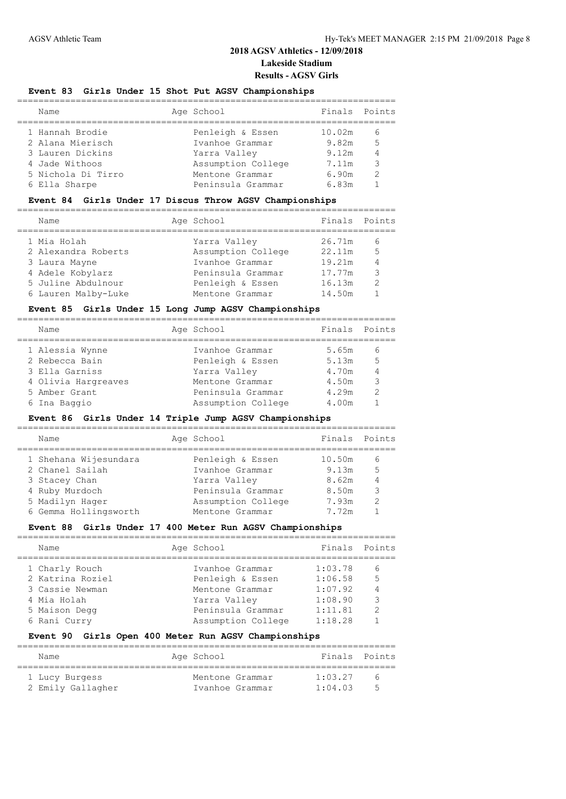### **Event 83 Girls Under 15 Shot Put AGSV Championships**

| Name               | Age School         |        | Finals Points |
|--------------------|--------------------|--------|---------------|
| 1 Hannah Brodie    | Penleigh & Essen   | 10.02m | 6             |
| 2 Alana Mierisch   | Ivanhoe Grammar    | 9.82m  | 5             |
| 3 Lauren Dickins   | Yarra Valley       | 9.12m  |               |
| 4 Jade Withoos     | Assumption College | 7.11m  | ς             |
| 5 Nichola Di Tirro | Mentone Grammar    | 6.90m  | っ             |
| 6 Ella Sharpe      | Peninsula Grammar  | 6.83m  |               |
|                    |                    |        |               |

### **Event 84 Girls Under 17 Discus Throw AGSV Championships**

| Name                | Age School         | Finals Points |                |
|---------------------|--------------------|---------------|----------------|
| 1 Mia Holah         | Yarra Valley       | 26.71m        |                |
| 2 Alexandra Roberts | Assumption College | 22.11m        | 5              |
| 3 Laura Mayne       | Ivanhoe Grammar    | 19.21m        | $\overline{4}$ |
| 4 Adele Kobylarz    | Peninsula Grammar  | 17.77m        | 3              |
| 5 Juline Abdulnour  | Penleigh & Essen   | 16.13m        | $\mathcal{P}$  |
| 6 Lauren Malby-Luke | Mentone Grammar    | 14.50m        |                |

#### **Event 85 Girls Under 15 Long Jump AGSV Championships**

| Name                | Age School         | Finals Points |               |
|---------------------|--------------------|---------------|---------------|
| 1 Alessia Wynne     | Ivanhoe Grammar    | 5.65m         | $\sqrt{2}$    |
| 2 Rebecca Bain      | Penleigh & Essen   | 5.13m         | 5             |
| 3 Ella Garniss      | Yarra Valley       | 4.70m         |               |
| 4 Olivia Hargreaves | Mentone Grammar    | 4.50m         | 3             |
| 5 Amber Grant       | Peninsula Grammar  | 4.29m         | $\mathcal{P}$ |
| 6 Ina Baggio        | Assumption College | 4.00m         |               |
|                     |                    |               |               |

### **Event 86 Girls Under 14 Triple Jump AGSV Championships**

| Name                  | Age School         | Finals Points |   |
|-----------------------|--------------------|---------------|---|
| 1 Shehana Wijesundara | Penleigh & Essen   | 10.50m        | 6 |
| 2 Chanel Sailah       | Ivanhoe Grammar    | 9.13m         | 5 |
| 3 Stacey Chan         | Yarra Valley       | 8.62m         |   |
| 4 Ruby Murdoch        | Peninsula Grammar  | 8.50m         | 3 |
| 5 Madilyn Hager       | Assumption College | 7.93m         | っ |
| 6 Gemma Hollingsworth | Mentone Grammar    | 7.72m         |   |
|                       |                    |               |   |

### **Event 88 Girls Under 17 400 Meter Run AGSV Championships**

| Name             | Age School         | Finals  | Points        |
|------------------|--------------------|---------|---------------|
| 1 Charly Rouch   | Ivanhoe Grammar    | 1:03.78 | 6             |
| 2 Katrina Roziel | Penleigh & Essen   | 1:06.58 | 5             |
| 3 Cassie Newman  | Mentone Grammar    | 1:07.92 |               |
| 4 Mia Holah      | Yarra Valley       | 1:08.90 | 3             |
| 5 Maison Degg    | Peninsula Grammar  | 1:11.81 | $\mathcal{D}$ |
| 6 Rani Curry     | Assumption College | 1:18.28 |               |
|                  |                    |         |               |

#### **Event 90 Girls Open 400 Meter Run AGSV Championships**

| Name              | Age School      |                 |         | Finals Points            |
|-------------------|-----------------|-----------------|---------|--------------------------|
| 1 Lucy Burgess    | Mentone Grammar |                 | 1:03.27 | $\sim$                   |
| 2 Emily Gallagher |                 | Ivanhoe Grammar | 1:04.03 | $\overline{\phantom{a}}$ |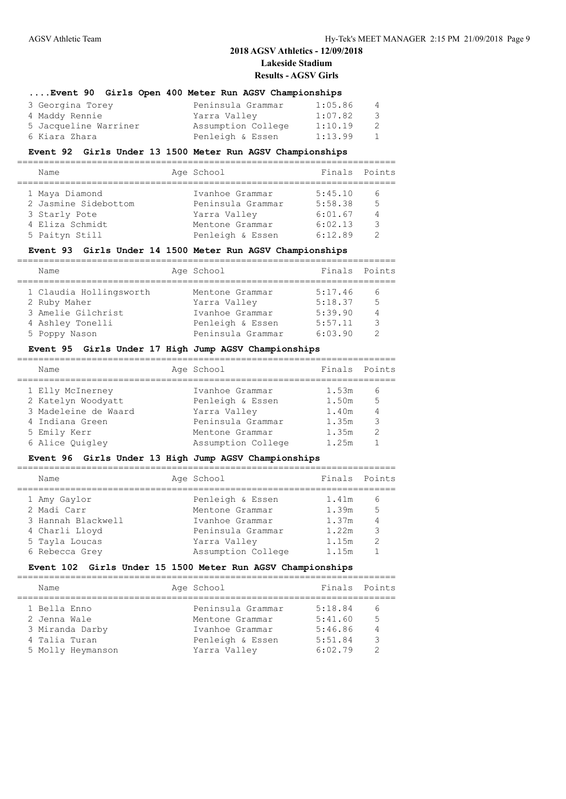### **....Event 90 Girls Open 400 Meter Run AGSV Championships** 3 Georgina Torey Peninsula Grammar 1:05.86 4 4 Maddy Rennie Yarra Valley 1:07.82 3 5 Jacqueline Warriner Assumption College 1:10.19 2 6 Kiara Zhara 1:13.99

# **Event 92 Girls Under 13 1500 Meter Run AGSV Championships**

| Age School<br>Name                                   | Finals Points  |
|------------------------------------------------------|----------------|
| 5:45.10<br>1 Maya Diamond<br>Ivanhoe Grammar         | 6              |
|                                                      |                |
| 2 Jasmine Sidebottom<br>5:58.38<br>Peninsula Grammar | $\overline{5}$ |
| 3 Starly Pote<br>6:01.67<br>Yarra Valley             | $\overline{4}$ |
| 4 Eliza Schmidt<br>6:02.13<br>Mentone Grammar        | $\mathcal{L}$  |
| Penleigh & Essen<br>6:12.89<br>5 Paityn Still        |                |

### **Event 93 Girls Under 14 1500 Meter Run AGSV Championships**

| Name                    | Age School        | Finals Points |               |
|-------------------------|-------------------|---------------|---------------|
|                         |                   |               |               |
| 1 Claudia Hollingsworth | Mentone Grammar   | 5:17.46       | 6             |
| 2 Ruby Maher            | Yarra Valley      | 5:18.37       | 5             |
| 3 Amelie Gilchrist      | Ivanhoe Grammar   | 5:39.90       | 4             |
| 4 Ashley Tonelli        | Penleigh & Essen  | 5:57.11       | $\mathcal{L}$ |
| 5 Poppy Nason           | Peninsula Grammar | 6:03.90       |               |

#### **Event 95 Girls Under 17 High Jump AGSV Championships**

| Name                                                                                                                 | Age School                                                                                                        | Finals Points                                      |                               |
|----------------------------------------------------------------------------------------------------------------------|-------------------------------------------------------------------------------------------------------------------|----------------------------------------------------|-------------------------------|
| 1 Elly McInerney<br>2 Katelyn Woodyatt<br>3 Madeleine de Waard<br>4 Indiana Green<br>5 Emily Kerr<br>6 Alice Ouigley | Ivanhoe Grammar<br>Penleigh & Essen<br>Yarra Valley<br>Peninsula Grammar<br>Mentone Grammar<br>Assumption College | 1.53m<br>1.50m<br>1.40m<br>1.35m<br>1.35m<br>1.25m | 6<br>.5<br>3<br>$\mathcal{P}$ |
|                                                                                                                      |                                                                                                                   |                                                    |                               |

#### **Event 96 Girls Under 13 High Jump AGSV Championships**

| Name               | Age School         | Finals Points |   |
|--------------------|--------------------|---------------|---|
| 1 Amy Gaylor       | Penleigh & Essen   | 1.41m         | 6 |
| 2 Madi Carr        | Mentone Grammar    | 1.39m         | 5 |
| 3 Hannah Blackwell | Ivanhoe Grammar    | 1.37m         |   |
| 4 Charli Lloyd     | Peninsula Grammar  | 1.22m         | 3 |
| 5 Tayla Loucas     | Yarra Valley       | 1.15m         | っ |
| 6 Rebecca Grey     | Assumption College | 1.15m         |   |
|                    |                    |               |   |

#### **Event 102 Girls Under 15 1500 Meter Run AGSV Championships**

| Name                               | Age School                           | Finals Points      |         |
|------------------------------------|--------------------------------------|--------------------|---------|
| 1 Bella Enno<br>2 Jenna Wale       | Peninsula Grammar<br>Mentone Grammar | 5:18.84<br>5:41.60 | 6<br>.5 |
| 3 Miranda Darby                    | Ivanhoe Grammar                      | 5:46.86            |         |
| 4 Talia Turan<br>5 Molly Heymanson | Penleigh & Essen<br>Yarra Valley     | 5:51.84<br>6:02.79 | 3<br>っ  |
|                                    |                                      |                    |         |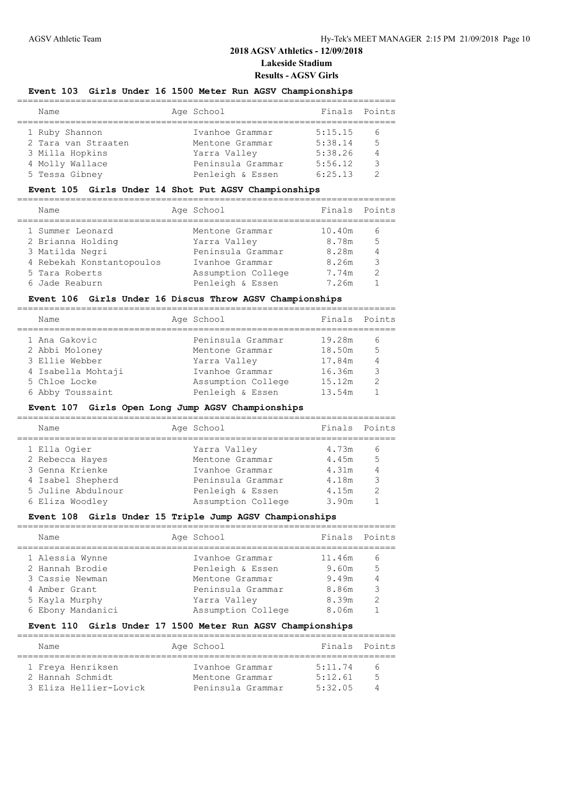### **Event 103 Girls Under 16 1500 Meter Run AGSV Championships**

| Name                | Age School        | Finals Points |   |
|---------------------|-------------------|---------------|---|
| 1 Ruby Shannon      | Ivanhoe Grammar   | 5:15.15       | 6 |
| 2 Tara van Straaten | Mentone Grammar   | 5:38.14       | 5 |
| 3 Milla Hopkins     | Yarra Valley      | 5:38.26       | 4 |
| 4 Molly Wallace     | Peninsula Grammar | 5:56.12       | २ |
| 5 Tessa Gibney      | Penleigh & Essen  | 6:25.13       | っ |
|                     |                   |               |   |

### **Event 105 Girls Under 14 Shot Put AGSV Championships**

|  | Name                      | Age School         | Finals Points |   |
|--|---------------------------|--------------------|---------------|---|
|  | 1 Summer Leonard          | Mentone Grammar    | 10.40m        | 6 |
|  | 2 Brianna Holding         | Yarra Valley       | 8.78m         | 5 |
|  | 3 Matilda Negri           | Peninsula Grammar  | 8.28m         |   |
|  | 4 Rebekah Konstantopoulos | Ivanhoe Grammar    | 8.26m         | 3 |
|  | 5 Tara Roberts            | Assumption College | 7.74m         | っ |
|  | 6 Jade Reaburn            | Penleigh & Essen   | 7.26m         |   |
|  |                           |                    |               |   |

### **Event 106 Girls Under 16 Discus Throw AGSV Championships**

| Name               | Age School         | Finals | Points         |
|--------------------|--------------------|--------|----------------|
| 1 Ana Gakovic      | Peninsula Grammar  | 19.28m | 6              |
| 2 Abbi Moloney     | Mentone Grammar    | 18.50m | 5              |
| 3 Ellie Webber     | Yarra Valley       | 17.84m | $\overline{4}$ |
| 4 Isabella Mohtaji | Ivanhoe Grammar    | 16.36m | 3              |
| 5 Chloe Locke      | Assumption College | 15.12m | $\mathcal{P}$  |
| 6 Abby Toussaint   | Penleigh & Essen   | 13.54m |                |

### **Event 107 Girls Open Long Jump AGSV Championships**

| Finals Points<br>Age School<br>Name<br>1 Ella Ogier<br>4.73m<br>Yarra Valley<br>h<br>5<br>2 Rebecca Hayes<br>Mentone Grammar<br>4.45m<br>3 Genna Krienke<br>4.31m<br>Ivanhoe Grammar<br>3<br>4 Isabel Shepherd<br>Peninsula Grammar<br>4.18m<br>5 Juline Abdulnour<br>$\mathcal{P}$<br>Penleigh & Essen<br>4.15m<br>Assumption College<br>6 Eliza Woodley<br>3.90m |  |  |  |
|--------------------------------------------------------------------------------------------------------------------------------------------------------------------------------------------------------------------------------------------------------------------------------------------------------------------------------------------------------------------|--|--|--|
|                                                                                                                                                                                                                                                                                                                                                                    |  |  |  |
|                                                                                                                                                                                                                                                                                                                                                                    |  |  |  |
|                                                                                                                                                                                                                                                                                                                                                                    |  |  |  |
|                                                                                                                                                                                                                                                                                                                                                                    |  |  |  |
|                                                                                                                                                                                                                                                                                                                                                                    |  |  |  |
|                                                                                                                                                                                                                                                                                                                                                                    |  |  |  |
|                                                                                                                                                                                                                                                                                                                                                                    |  |  |  |

### **Event 108 Girls Under 15 Triple Jump AGSV Championships**

| Name              | Age School         | Finals | Points        |
|-------------------|--------------------|--------|---------------|
| 1 Alessia Wynne   | Ivanhoe Grammar    | 11.46m | 6             |
| 2 Hannah Brodie   | Penleigh & Essen   | 9.60m  | 5             |
| 3 Cassie Newman   | Mentone Grammar    | 9.49m  |               |
| 4 Amber Grant     | Peninsula Grammar  | 8.86m  | 3             |
| 5 Kayla Murphy    | Yarra Valley       | 8.39m  | $\mathcal{P}$ |
| 6 Ebony Mandanici | Assumption College | 8.06m  |               |

#### **Event 110 Girls Under 17 1500 Meter Run AGSV Championships**

| Name                   | Age School        |         | Finals Points |
|------------------------|-------------------|---------|---------------|
|                        |                   |         |               |
| 1 Freya Henriksen      | Ivanhoe Grammar   | 5:11.74 | $\kappa$      |
| 2 Hannah Schmidt       | Mentone Grammar   | 5:12.61 | π             |
| 3 Eliza Hellier-Lovick | Peninsula Grammar | 5:32.05 |               |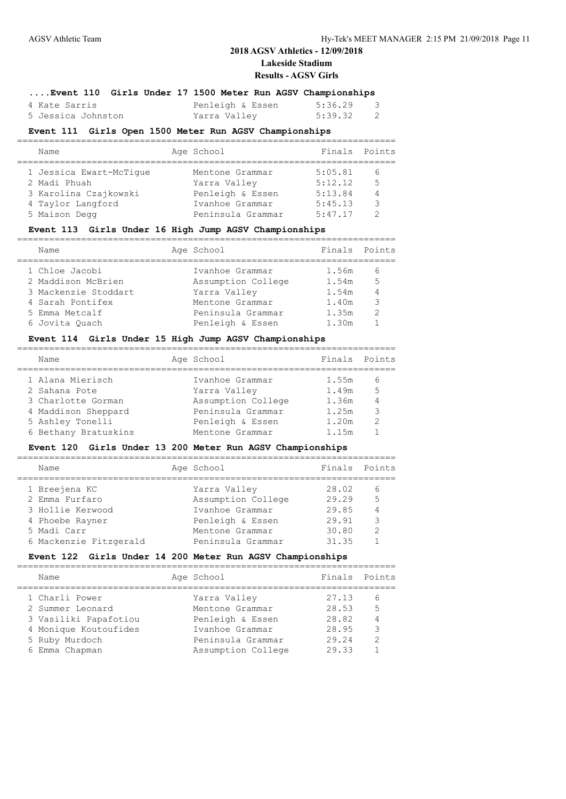## **2018 AGSV Athletics - 12/09/2018 Lakeside Stadium**

#### **Results - AGSV Girls**

### **....Event 110 Girls Under 17 1500 Meter Run AGSV Championships**

| 4 Kate Sarris      | Penleigh & Essen | 5:36.29 |  |
|--------------------|------------------|---------|--|
| 5 Jessica Johnston | Yarra Valley     | 5:39.32 |  |

### **Event 111 Girls Open 1500 Meter Run AGSV Championships**

| Name                    | Age School        | Finals  | Points         |
|-------------------------|-------------------|---------|----------------|
|                         |                   |         |                |
| 1 Jessica Ewart-McTique | Mentone Grammar   | 5:05.81 | 6              |
| 2 Madi Phuah            | Yarra Valley      | 5:12.12 | 5              |
| 3 Karolina Czajkowski   | Penleigh & Essen  | 5:13.84 | $\overline{4}$ |
| 4 Taylor Langford       | Ivanhoe Grammar   | 5:45.13 | ্ব             |
| 5 Maison Degg           | Peninsula Grammar | 5:47.17 |                |

### **Event 113 Girls Under 16 High Jump AGSV Championships**

| Name                 | Age School         | Finals Points |                |
|----------------------|--------------------|---------------|----------------|
| 1 Chloe Jacobi       | Ivanhoe Grammar    | 1.56m         | $\sqrt{2}$     |
| 2 Maddison McBrien   | Assumption College | 1.54m         | $\overline{5}$ |
| 3 Mackenzie Stoddart | Yarra Valley       | 1.54m         |                |
| 4 Sarah Pontifex     | Mentone Grammar    | 1.40m         | 3              |
| 5 Emma Metcalf       | Peninsula Grammar  | 1.35m         | っ              |
| 6 Jovita Ouach       | Penleigh & Essen   | 1.30m         |                |
|                      |                    |               |                |

### **Event 114 Girls Under 15 High Jump AGSV Championships**

| Finals Points<br>Age School<br>Name<br>1 Alana Mierisch<br>Ivanhoe Grammar<br>1.55m<br>6<br>5<br>2 Sahana Pote<br>Yarra Valley<br>1.49m<br>Assumption College<br>3 Charlotte Gorman<br>1.36m<br>$\overline{4}$<br>Peninsula Grammar<br>২<br>1.25m<br>4 Maddison Sheppard<br>5 Ashley Tonelli<br>Penleigh & Essen<br>1.20m<br>っ<br>6 Bethany Bratuskins<br>1.15m<br>Mentone Grammar |  |  |  |
|------------------------------------------------------------------------------------------------------------------------------------------------------------------------------------------------------------------------------------------------------------------------------------------------------------------------------------------------------------------------------------|--|--|--|
|                                                                                                                                                                                                                                                                                                                                                                                    |  |  |  |
|                                                                                                                                                                                                                                                                                                                                                                                    |  |  |  |
|                                                                                                                                                                                                                                                                                                                                                                                    |  |  |  |
|                                                                                                                                                                                                                                                                                                                                                                                    |  |  |  |
|                                                                                                                                                                                                                                                                                                                                                                                    |  |  |  |
|                                                                                                                                                                                                                                                                                                                                                                                    |  |  |  |
|                                                                                                                                                                                                                                                                                                                                                                                    |  |  |  |

### **Event 120 Girls Under 13 200 Meter Run AGSV Championships**

| Name                   | Age School         | Finals | Points |
|------------------------|--------------------|--------|--------|
| 1 Breejena KC          | Yarra Valley       | 28.02  | 6      |
| 2 Emma Furfaro         | Assumption College | 29.29  | 5      |
| 3 Hollie Kerwood       | Ivanhoe Grammar    | 29.85  |        |
| 4 Phoebe Rayner        | Penleigh & Essen   | 29.91  | 3      |
| 5 Madi Carr            | Mentone Grammar    | 30.80  | 2      |
| 6 Mackenzie Fitzgerald | Peninsula Grammar  | 31.35  |        |
|                        |                    |        |        |

#### **Event 122 Girls Under 14 200 Meter Run AGSV Championships**

| Name                                                                                                   | Age School                                                                                  | Finals Points                             |                          |
|--------------------------------------------------------------------------------------------------------|---------------------------------------------------------------------------------------------|-------------------------------------------|--------------------------|
| 1 Charli Power<br>2 Summer Leonard<br>3 Vasiliki Papafotiou<br>4 Monique Koutoufides<br>5 Ruby Murdoch | Yarra Valley<br>Mentone Grammar<br>Penleigh & Essen<br>Ivanhoe Grammar<br>Peninsula Grammar | 27.13<br>28.53<br>28.82<br>28.95<br>29.24 | .5<br>3<br>$\mathcal{D}$ |
| 6 Emma Chapman                                                                                         | Assumption College                                                                          | 29.33                                     |                          |
|                                                                                                        |                                                                                             |                                           |                          |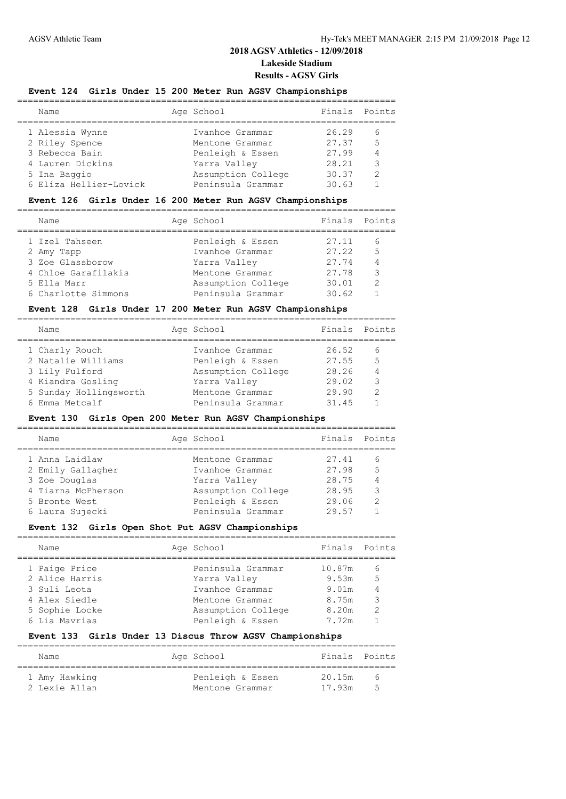### **Event 124 Girls Under 15 200 Meter Run AGSV Championships**

| Name                   | Age School         | Finals | Points |
|------------------------|--------------------|--------|--------|
| 1 Alessia Wynne        | Ivanhoe Grammar    | 26.29  | 6      |
| 2 Riley Spence         | Mentone Grammar    | 27.37  | 5      |
| 3 Rebecca Bain         | Penleigh & Essen   | 27.99  | 4      |
| 4 Lauren Dickins       | Yarra Valley       | 28.21  | 3      |
| 5 Ina Baggio           | Assumption College | 30.37  | っ      |
| 6 Eliza Hellier-Lovick | Peninsula Grammar  | 30.63  |        |
|                        |                    |        |        |

#### **Event 126 Girls Under 16 200 Meter Run AGSV Championships**

| Finals Points<br>Age School<br>Name<br>1 Izel Tahseen<br>Penleigh & Essen<br>27.11<br>5<br>27.22<br>Ivanhoe Grammar<br>2 Amy Tapp<br>3 Zoe Glassborow<br>27.74<br>Yarra Valley<br>4 Chloe Garafilakis<br>3<br>27.78<br>Mentone Grammar<br>っ<br>Assumption College<br>30.01<br>5 Ella Marr<br>Peninsula Grammar<br>6 Charlotte Simmons<br>30.62 |  |  |  |
|------------------------------------------------------------------------------------------------------------------------------------------------------------------------------------------------------------------------------------------------------------------------------------------------------------------------------------------------|--|--|--|
|                                                                                                                                                                                                                                                                                                                                                |  |  |  |
|                                                                                                                                                                                                                                                                                                                                                |  |  |  |
|                                                                                                                                                                                                                                                                                                                                                |  |  |  |
|                                                                                                                                                                                                                                                                                                                                                |  |  |  |
|                                                                                                                                                                                                                                                                                                                                                |  |  |  |
|                                                                                                                                                                                                                                                                                                                                                |  |  |  |
|                                                                                                                                                                                                                                                                                                                                                |  |  |  |

### **Event 128 Girls Under 17 200 Meter Run AGSV Championships**

| Name                   | Age School         | Finals Points |                |
|------------------------|--------------------|---------------|----------------|
| 1 Charly Rouch         | Ivanhoe Grammar    | 26.52         | 6              |
| 2 Natalie Williams     | Penleigh & Essen   | 27.55         | $\overline{5}$ |
| 3 Lily Fulford         | Assumption College | 28.26         | $\overline{4}$ |
| 4 Kiandra Gosling      | Yarra Valley       | 29.02         | २              |
| 5 Sunday Hollingsworth | Mentone Grammar    | 29.90         | $\mathcal{P}$  |
| 6 Emma Metcalf         | Peninsula Grammar  | 31.45         |                |
|                        |                    |               |                |

#### **Event 130 Girls Open 200 Meter Run AGSV Championships**

| Name               | Age School         | Finals Points |               |
|--------------------|--------------------|---------------|---------------|
| 1 Anna Laidlaw     | Mentone Grammar    | 27.41         | 6             |
| 2 Emily Gallagher  | Ivanhoe Grammar    | 27.98         | 5             |
| 3 Zoe Douglas      | Yarra Valley       | 28.75         |               |
| 4 Tiarna McPherson | Assumption College | 28.95         | 3             |
| 5 Bronte West      | Penleigh & Essen   | 29.06         | $\mathcal{D}$ |
| 6 Laura Sujecki    | Peninsula Grammar  | 29.57         |               |
|                    |                    |               |               |

# **Event 132 Girls Open Shot Put AGSV Championships**

| Finals Points<br>Age School<br>Name<br>1 Paige Price<br>Peninsula Grammar<br>10.87m<br>6<br>2 Alice Harris<br>5<br>Yarra Valley<br>9.53m<br>3 Suli Leota<br>Ivanhoe Grammar<br>9.01m<br>4 Alex Siedle<br>3<br>8.75m<br>Mentone Grammar<br>8.20m<br>5 Sophie Locke<br>$\mathcal{D}$<br>Assumption College<br>6 Lia Mavrias<br>Penleigh & Essen<br>7.72m |  |  |  |
|--------------------------------------------------------------------------------------------------------------------------------------------------------------------------------------------------------------------------------------------------------------------------------------------------------------------------------------------------------|--|--|--|
|                                                                                                                                                                                                                                                                                                                                                        |  |  |  |
|                                                                                                                                                                                                                                                                                                                                                        |  |  |  |
|                                                                                                                                                                                                                                                                                                                                                        |  |  |  |

#### **Event 133 Girls Under 13 Discus Throw AGSV Championships**

| Name                           | Age School                          | Finals Points    |                          |
|--------------------------------|-------------------------------------|------------------|--------------------------|
| 1 Amy Hawking<br>2 Lexie Allan | Penleigh & Essen<br>Mentone Grammar | 20.15m<br>17.93m | $\sim$<br>$\overline{ }$ |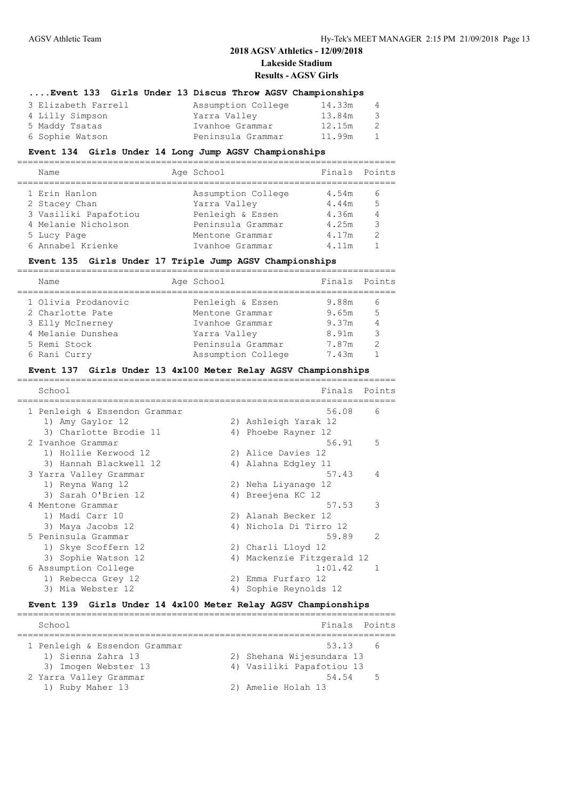#### **....Event 133 Girls Under 13 Discus Throw AGSV Championships**

| 3 Elizabeth Farrell | Assumption College | 14.33m | $\overline{4}$ |
|---------------------|--------------------|--------|----------------|
| 4 Lilly Simpson     | Yarra Valley       | 13.84m | - 3            |
| 5 Maddy Tsatas      | Ivanhoe Grammar    | 12.15m | -2             |
| 6 Sophie Watson     | Peninsula Grammar  | 11.99m | $\overline{1}$ |

### **Event 134 Girls Under 14 Long Jump AGSV Championships**

| Name                  | Age School         | Finals Points |                |
|-----------------------|--------------------|---------------|----------------|
| 1 Erin Hanlon         | Assumption College | 4.54m         | 6              |
| 2 Stacey Chan         | Yarra Valley       | 4.44m         | $\overline{5}$ |
| 3 Vasiliki Papafotiou | Penleigh & Essen   | 4.36m         | $\overline{4}$ |
| 4 Melanie Nicholson   | Peninsula Grammar  | 4.25m         |                |
| 5 Lucy Page           | Mentone Grammar    | 4.17m         | 2              |
| 6 Annabel Krienke     | Ivanhoe Grammar    | 4.11m         |                |
|                       |                    |               |                |

### **Event 135 Girls Under 17 Triple Jump AGSV Championships**

| Name                | Age School         | Finals Points |                |
|---------------------|--------------------|---------------|----------------|
| 1 Olivia Prodanovic | Penleigh & Essen   | 9.88m         | 6              |
| 2 Charlotte Pate    | Mentone Grammar    | 9.65m         | $-5$           |
| 3 Elly McInerney    | Ivanhoe Grammar    | 9.37m         | $\overline{4}$ |
| 4 Melanie Dunshea   | Yarra Valley       | 8.91m         | 3              |
| 5 Remi Stock        | Peninsula Grammar  | 7.87m         | $\mathcal{D}$  |
| 6 Rani Curry        | Assumption College | 7.43m         |                |

#### **Event 137 Girls Under 13 4x100 Meter Relay AGSV Championships**

| School                        |    | Finals                     | Points         |
|-------------------------------|----|----------------------------|----------------|
| 1 Penleigh & Essendon Grammar |    | 56.08                      | 6              |
| 1) Amy Gaylor 12              |    | 2) Ashleigh Yarak 12       |                |
| 3) Charlotte Brodie 11        |    | 4) Phoebe Rayner 12        |                |
| 2 Ivanhoe Grammar             |    | 56.91                      | - 5            |
| 1) Hollie Kerwood 12          |    | 2) Alice Davies 12         |                |
| 3) Hannah Blackwell 12        |    | 4) Alahna Edgley 11        |                |
| 3 Yarra Valley Grammar        |    | 57.43                      | $\overline{4}$ |
| 1) Reyna Wang 12              |    | 2) Neha Liyanage 12        |                |
| 3) Sarah O'Brien 12           |    | 4) Breejena KC 12          |                |
| 4 Mentone Grammar             |    | 57.53                      | 3              |
| 1) Madi Carr 10               |    | 2) Alanah Becker 12        |                |
| 3) Maya Jacobs 12             |    | 4) Nichola Di Tirro 12     |                |
| 5 Peninsula Grammar           |    | 59.89                      | $\mathcal{L}$  |
| 1) Skye Scoffern 12           |    | 2) Charli Lloyd 12         |                |
| 3) Sophie Watson 12           |    | 4) Mackenzie Fitzgerald 12 |                |
| 6 Assumption College          |    | 1:01.42                    | -1             |
| 1) Rebecca Grey 12            | 2) | Emma Furfaro 12            |                |
| 3) Mia Webster 12             | 4) | Sophie Reynolds 12         |                |

#### **Event 139 Girls Under 14 4x100 Meter Relay AGSV Championships**

| School                        | Finals Points             |  |
|-------------------------------|---------------------------|--|
| 1 Penleigh & Essendon Grammar | 53.13 6                   |  |
| 1) Sienna Zahra 13            | 2) Shehana Wijesundara 13 |  |
| 3) Imogen Webster 13          | 4) Vasiliki Papafotiou 13 |  |
| 2 Yarra Valley Grammar        | 54.54 5                   |  |
| 1) Ruby Maher 13              | 2) Amelie Holah 13        |  |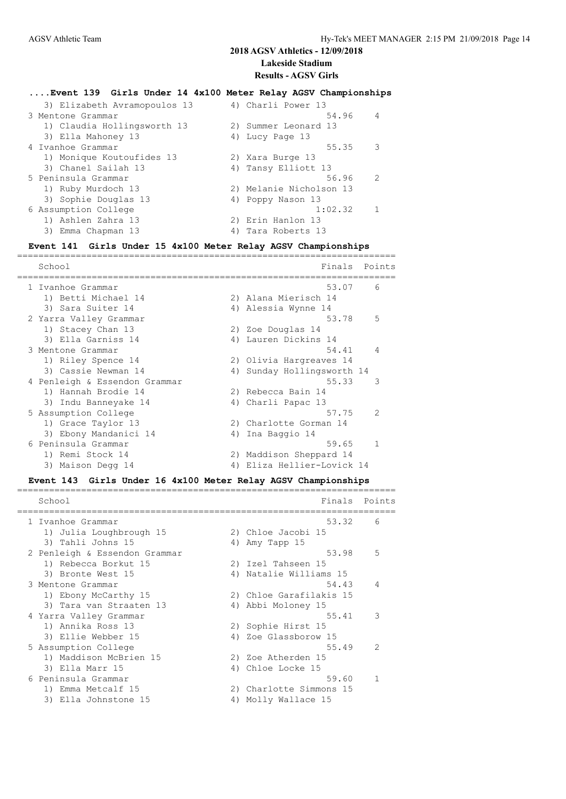### **....Event 139 Girls Under 14 4x100 Meter Relay AGSV Championships**

| 3) Elizabeth Avramopoulos 13 |    | 4) Charli Power 13      |                |
|------------------------------|----|-------------------------|----------------|
| 3 Mentone Grammar            |    | 54.96                   | $\overline{4}$ |
| 1) Claudia Hollingsworth 13  |    | 2) Summer Leonard 13    |                |
| 3) Ella Mahoney 13           |    | 4) Lucy Page 13         |                |
| 4 Ivanhoe Grammar            |    | 55.35                   | 3              |
| 1) Monique Koutoufides 13    |    | 2) Xara Burge 13        |                |
| 3) Chanel Sailah 13          |    | 4) Tansy Elliott 13     |                |
| 5 Peninsula Grammar          |    | 56.96                   | $\mathcal{L}$  |
| 1) Ruby Murdoch 13           |    | 2) Melanie Nicholson 13 |                |
| 3) Sophie Douglas 13         |    | 4) Poppy Nason 13       |                |
| 6 Assumption College         |    | 1:02.32                 |                |
| 1) Ashlen Zahra 13           |    | 2) Erin Hanlon 13       |                |
| 3) Emma Chapman 13           | 4) | Tara Roberts 13         |                |
|                              |    |                         |                |

#### **Event 141 Girls Under 15 4x100 Meter Relay AGSV Championships** =======================================================================

|  | School                        |    | Finals                  | Points        |
|--|-------------------------------|----|-------------------------|---------------|
|  | 1 Ivanhoe Grammar             |    | 53.07                   | 6             |
|  | 1) Betti Michael 14           |    | 2) Alana Mierisch 14    |               |
|  | 3) Sara Suiter 14             |    | 4) Alessia Wynne 14     |               |
|  | 2 Yarra Valley Grammar        |    | 53.78                   | 5             |
|  | 1) Stacey Chan 13             |    | 2) Zoe Douglas 14       |               |
|  | 3) Ella Garniss 14            |    | 4) Lauren Dickins 14    |               |
|  | 3 Mentone Grammar             |    | 54.41                   | 4             |
|  | 1) Riley Spence 14            |    | 2) Olivia Hargreaves 14 |               |
|  | 3) Cassie Newman 14           | 4) | Sunday Hollingsworth 14 |               |
|  | 4 Penleigh & Essendon Grammar |    | 55.33                   | 3             |
|  | 1) Hannah Brodie 14           |    | 2) Rebecca Bain 14      |               |
|  | 3) Indu Banneyake 14          |    | 4) Charli Papac 13      |               |
|  | 5 Assumption College          |    | 57.75                   | $\mathcal{P}$ |
|  | 1) Grace Taylor 13            |    | 2) Charlotte Gorman 14  |               |
|  | 3) Ebony Mandanici 14         | 4) | Ina Baggio 14           |               |
|  | 6 Peninsula Grammar           |    | 59.65                   | $\mathbf{1}$  |
|  | 1) Remi Stock 14              |    | 2) Maddison Sheppard 14 |               |
|  | 3) Maison Degg 14             | 4) | Eliza Hellier-Lovick 14 |               |
|  |                               |    |                         |               |

**Event 143 Girls Under 16 4x100 Meter Relay AGSV Championships**

| School                        |    | Finals                  | Points         |
|-------------------------------|----|-------------------------|----------------|
| 1 Ivanhoe Grammar             |    | 53.32                   | 6              |
| 1) Julia Loughbrough 15       |    | 2) Chloe Jacobi 15      |                |
| 3) Tahli Johns 15             |    | 4) Amy Tapp 15          |                |
| 2 Penleigh & Essendon Grammar |    | 53.98                   | 5              |
| 1) Rebecca Borkut 15          |    | 2) Izel Tahseen 15      |                |
| 3) Bronte West 15             |    | 4) Natalie Williams 15  |                |
| 3 Mentone Grammar             |    | 54.43                   | $\overline{4}$ |
| 1) Ebony McCarthy 15          |    | 2) Chloe Garafilakis 15 |                |
| 3) Tara van Straaten 13       |    | 4) Abbi Moloney 15      |                |
| 4 Yarra Valley Grammar        |    | 55.41                   | 3              |
| 1) Annika Ross 13             |    | 2) Sophie Hirst 15      |                |
| 3) Ellie Webber 15            |    | 4) Zoe Glassborow 15    |                |
| 5 Assumption College          |    | 55.49                   | $\mathcal{L}$  |
| 1) Maddison McBrien 15        |    | 2) Zoe Atherden 15      |                |
| 3) Ella Marr 15               |    | 4) Chloe Locke 15       |                |
| 6 Peninsula Grammar           |    | 59.60                   |                |
| 1) Emma Metcalf 15            | 2) | Charlotte Simmons 15    |                |
| 3) Ella Johnstone 15          | 4) | Molly Wallace 15        |                |
|                               |    |                         |                |